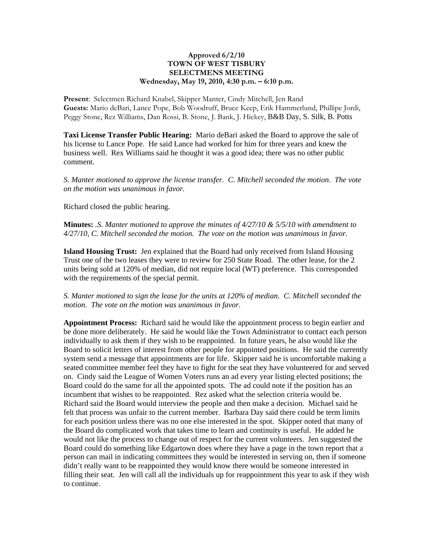## **Approved 6/2/10 TOWN OF WEST TISBURY SELECTMENS MEETING Wednesday, May 19, 2010, 4:30 p.m. – 6:10 p.m.**

**Present**: Selectmen Richard Knabel, Skipper Manter, Cindy Mitchell, Jen Rand **Guests:** Mario deBari, Lance Pope, Bob Woodruff, Bruce Keep, Erik Hammerlund, Phillipe Jordi, Peggy Stone, Rez Williams, Dan Rossi, B. Stone, J. Bank, J. Hickey, B&B Day, S. Silk, B. Potts

**Taxi License Transfer Public Hearing:** Mario deBari asked the Board to approve the sale of his license to Lance Pope. He said Lance had worked for him for three years and knew the business well. Rex Williams said he thought it was a good idea; there was no other public comment.

*S. Manter motioned to approve the license transfer. C. Mitchell seconded the motion. The vote on the motion was unanimous in favor.* 

Richard closed the public hearing.

**Minutes:** *.S. Manter motioned to approve the minutes of 4/27/10 & 5/5/10 with amendment to 4/27/10, C. Mitchell seconded the motion. The vote on the motion was unanimous in favor.*

**Island Housing Trust:** Jen explained that the Board had only received from Island Housing Trust one of the two leases they were to review for 250 State Road. The other lease, for the 2 units being sold at 120% of median, did not require local (WT) preference. This corresponded with the requirements of the special permit.

## *S. Manter motioned to sign the lease for the units at 120% of median. C. Mitchell seconded the motion. The vote on the motion was unanimous in favor.*

**Appointment Process:** Richard said he would like the appointment process to begin earlier and be done more deliberately. He said he would like the Town Administrator to contact each person individually to ask them if they wish to be reappointed. In future years, he also would like the Board to solicit letters of interest from other people for appointed positions. He said the currently system send a message that appointments are for life. Skipper said he is uncomfortable making a seated committee member feel they have to fight for the seat they have volunteered for and served on. Cindy said the League of Women Voters runs an ad every year listing elected positions; the Board could do the same for all the appointed spots. The ad could note if the position has an incumbent that wishes to be reappointed. Rez asked what the selection criteria would be. Richard said the Board would interview the people and then make a decision. Michael said he felt that process was unfair to the current member. Barbara Day said there could be term limits for each position unless there was no one else interested in the spot. Skipper noted that many of the Board do complicated work that takes time to learn and continuity is useful. He added he would not like the process to change out of respect for the current volunteers. Jen suggested the Board could do something like Edgartown does where they have a page in the town report that a person can mail in indicating committees they would be interested in serving on, then if someone didn't really want to be reappointed they would know there would be someone interested in filling their seat. Jen will call all the individuals up for reappointment this year to ask if they wish to continue.